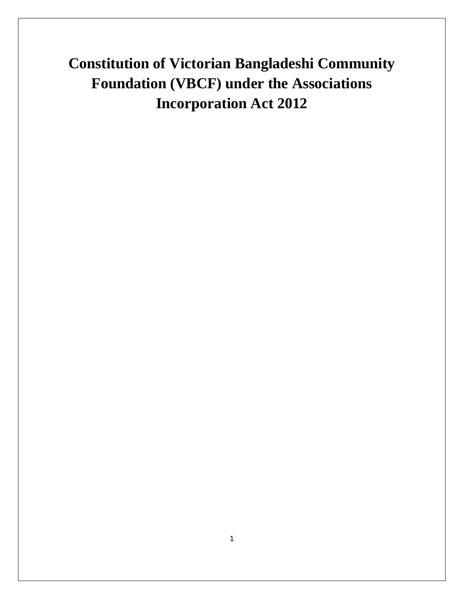**Constitution of Victorian Bangladeshi Community Foundation (VBCF) under the Associations Incorporation Act 2012**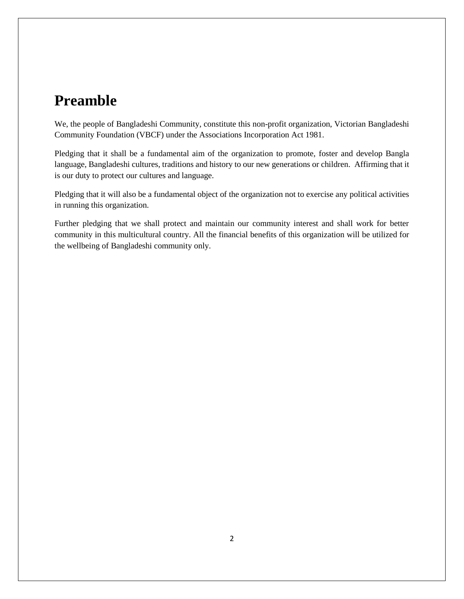# **Preamble**

We, the people of Bangladeshi Community, constitute this non-profit organization, Victorian Bangladeshi Community Foundation (VBCF) under the Associations Incorporation Act 1981.

Pledging that it shall be a fundamental aim of the organization to promote, foster and develop Bangla language, Bangladeshi cultures, traditions and history to our new generations or children. Affirming that it is our duty to protect our cultures and language.

Pledging that it will also be a fundamental object of the organization not to exercise any political activities in running this organization.

Further pledging that we shall protect and maintain our community interest and shall work for better community in this multicultural country. All the financial benefits of this organization will be utilized for the wellbeing of Bangladeshi community only.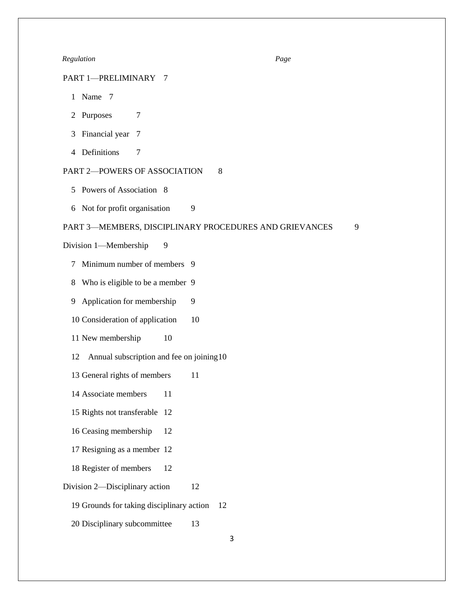#### *Regulation Page*

# PART 1—PRELIMINARY 7

- 1 Name 7
- 2 Purposes 7
- 3 Financial year 7
- 4 Definitions 7

# PART 2-POWERS OF ASSOCIATION 8

- 5 Powers of Association 8
- 6 Not for profit organisation 9

#### PART 3-MEMBERS, DISCIPLINARY PROCEDURES AND GRIEVANCES 9

Division 1—Membership 9

- 7 Minimum number of members 9
- 8 Who is eligible to be a member 9
- 9 Application for membership 9
- 10 Consideration of application 10
- 11 New membership 10
- 12 Annual subscription and fee on joining10
- 13 General rights of members 11
- 14 Associate members 11
- 15 Rights not transferable 12
- 16 Ceasing membership 12
- 17 Resigning as a member 12
- 18 Register of members 12
- Division 2—Disciplinary action 12
	- 19 Grounds for taking disciplinary action 12
	- 20 Disciplinary subcommittee 13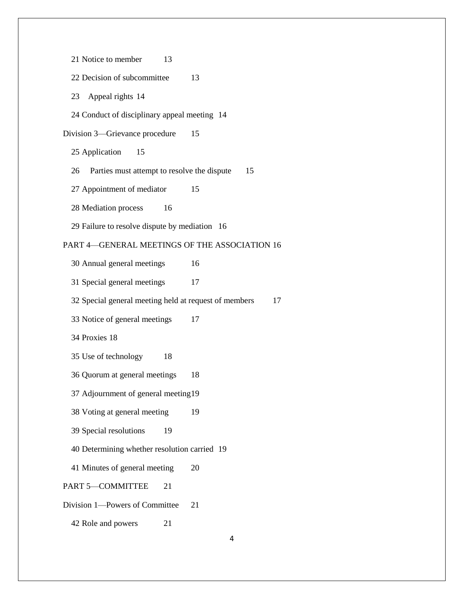| 21 Notice to member<br>13                             |    |
|-------------------------------------------------------|----|
| 22 Decision of subcommittee                           | 13 |
| 23 Appeal rights 14                                   |    |
| 24 Conduct of disciplinary appeal meeting 14          |    |
| Division 3—Grievance procedure                        | 15 |
| 25 Application<br>15                                  |    |
| Parties must attempt to resolve the dispute<br>26     | 15 |
| 27 Appointment of mediator                            | 15 |
| 28 Mediation process 16                               |    |
| 29 Failure to resolve dispute by mediation 16         |    |
| PART 4-GENERAL MEETINGS OF THE ASSOCIATION 16         |    |
| 30 Annual general meetings                            | 16 |
| 31 Special general meetings                           | 17 |
|                                                       |    |
| 32 Special general meeting held at request of members | 17 |
| 33 Notice of general meetings                         | 17 |
| 34 Proxies 18                                         |    |
| 35 Use of technology<br>18                            |    |
| 36 Quorum at general meetings                         | 18 |
| 37 Adjournment of general meeting 19                  |    |
| 38 Voting at general meeting                          | 19 |
| 39 Special resolutions<br>19                          |    |
| 40 Determining whether resolution carried 19          |    |
| 41 Minutes of general meeting                         | 20 |
| PART 5-COMMITTEE<br>21                                |    |
| Division 1-Powers of Committee                        | 21 |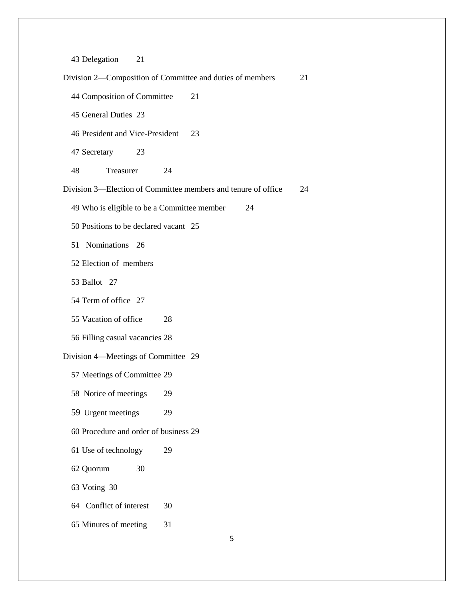Delegation 21

 Division 2—Composition of Committee and duties of members 21 Composition of Committee 21 General Duties 23 President and Vice-President 23 Secretary 23 48 Treasurer 24 Division 3—Election of Committee members and tenure of office 24 Who is eligible to be a Committee member 24 Positions to be declared vacant 25 51 Nominations 26 Election of members Ballot 27 Term of office 27 Vacation of office 28 Filling casual vacancies 28 Division 4—Meetings of Committee 29 Meetings of Committee 29 58 Notice of meetings 29 Urgent meetings 29 Procedure and order of business 29 Use of technology 29 Quorum 30 Voting 30 64 Conflict of interest 30 Minutes of meeting 31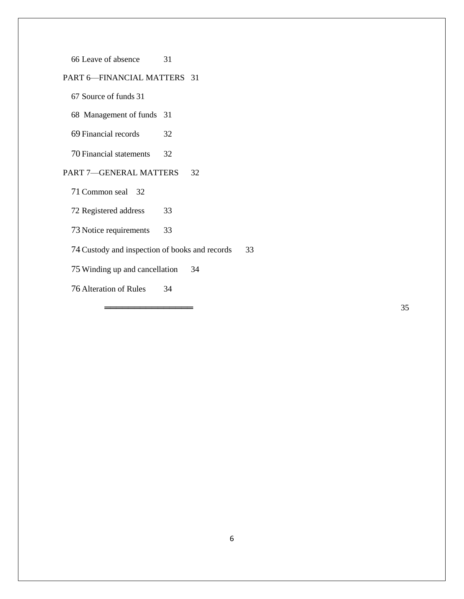Leave of absence 31

# PART 6—FINANCIAL MATTERS 31

Source of funds 31

68 Management of funds 31

Financial records 32

Financial statements 32

# PART 7-GENERAL MATTERS 32

Common seal 32

Registered address 33

Notice requirements 33

Custody and inspection of books and records 33

Winding up and cancellation 34

Alteration of Rules 34

 $\frac{35}{ }$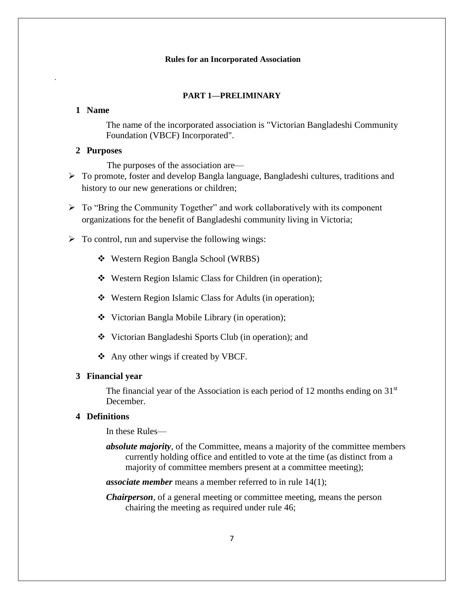#### **Rules for an Incorporated Association**

#### **PART 1—PRELIMINARY**

#### **1 Name**

.

The name of the incorporated association is "Victorian Bangladeshi Community Foundation (VBCF) Incorporated".

## **2 Purposes**

The purposes of the association are—

- To promote, foster and develop Bangla language, Bangladeshi cultures, traditions and history to our new generations or children;
- $\triangleright$  To "Bring the Community Together" and work collaboratively with its component organizations for the benefit of Bangladeshi community living in Victoria;
- $\triangleright$  To control, run and supervise the following wings:
	- Western Region Bangla School (WRBS)
	- Western Region Islamic Class for Children (in operation);
	- Western Region Islamic Class for Adults (in operation);
	- Victorian Bangla Mobile Library (in operation);
	- Victorian Bangladeshi Sports Club (in operation); and
	- ❖ Any other wings if created by VBCF.

## **3 Financial year**

The financial year of the Association is each period of 12 months ending on  $31<sup>st</sup>$ December.

## **4 Definitions**

In these Rules—

*absolute majority*, of the Committee, means a majority of the committee members currently holding office and entitled to vote at the time (as distinct from a majority of committee members present at a committee meeting);

*associate member* means a member referred to in rule 14(1);

*Chairperson*, of a general meeting or committee meeting, means the person chairing the meeting as required under rule 46;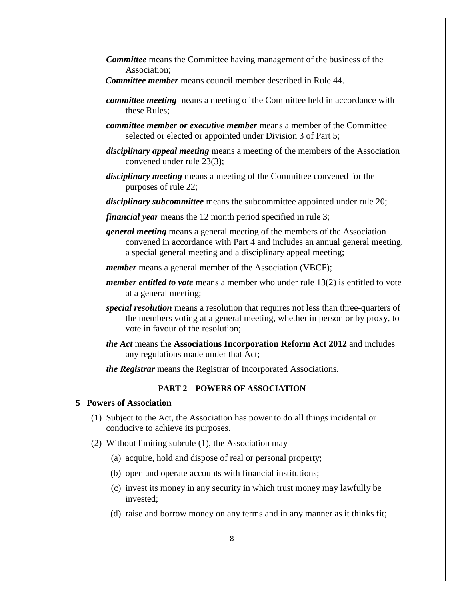- *Committee* means the Committee having management of the business of the Association;
- *Committee member* means council member described in Rule 44.
- *committee meeting* means a meeting of the Committee held in accordance with these Rules;
- *committee member or executive member* means a member of the Committee selected or elected or appointed under Division 3 of Part 5;
- *disciplinary appeal meeting* means a meeting of the members of the Association convened under rule 23(3);
- *disciplinary meeting* means a meeting of the Committee convened for the purposes of rule 22;
- *disciplinary subcommittee* means the subcommittee appointed under rule 20;
- *financial year* means the 12 month period specified in rule 3;
- *general meeting* means a general meeting of the members of the Association convened in accordance with Part 4 and includes an annual general meeting, a special general meeting and a disciplinary appeal meeting;
- *member* means a general member of the Association (VBCF);
- *member entitled to vote* means a member who under rule 13(2) is entitled to vote at a general meeting;
- *special resolution* means a resolution that requires not less than three-quarters of the members voting at a general meeting, whether in person or by proxy, to vote in favour of the resolution;
- *the Act* means the **Associations Incorporation Reform Act 2012** and includes any regulations made under that Act;
- *the Registrar* means the Registrar of Incorporated Associations.

## **PART 2—POWERS OF ASSOCIATION**

### **5 Powers of Association**

- (1) Subject to the Act, the Association has power to do all things incidental or conducive to achieve its purposes.
- (2) Without limiting subrule (1), the Association may—
	- (a) acquire, hold and dispose of real or personal property;
	- (b) open and operate accounts with financial institutions;
	- (c) invest its money in any security in which trust money may lawfully be invested;
	- (d) raise and borrow money on any terms and in any manner as it thinks fit;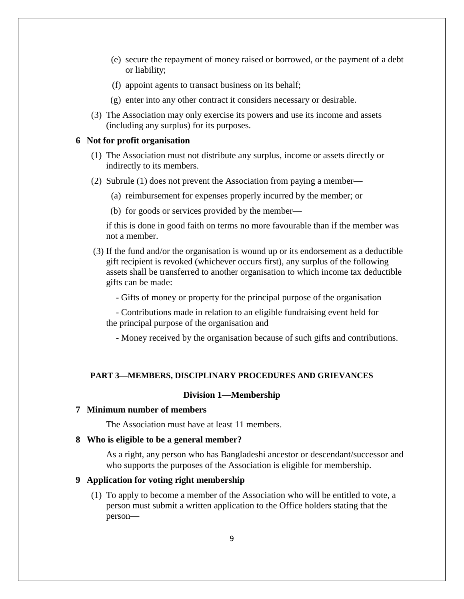- (e) secure the repayment of money raised or borrowed, or the payment of a debt or liability;
- (f) appoint agents to transact business on its behalf;
- (g) enter into any other contract it considers necessary or desirable.
- (3) The Association may only exercise its powers and use its income and assets (including any surplus) for its purposes.

#### **6 Not for profit organisation**

- (1) The Association must not distribute any surplus, income or assets directly or indirectly to its members.
- (2) Subrule (1) does not prevent the Association from paying a member—
	- (a) reimbursement for expenses properly incurred by the member; or
	- (b) for goods or services provided by the member—

if this is done in good faith on terms no more favourable than if the member was not a member.

- (3) If the fund and/or the organisation is wound up or its endorsement as a deductible gift recipient is revoked (whichever occurs first), any surplus of the following assets shall be transferred to another organisation to which income tax deductible gifts can be made:
	- Gifts of money or property for the principal purpose of the organisation

 - Contributions made in relation to an eligible fundraising event held for the principal purpose of the organisation and

- Money received by the organisation because of such gifts and contributions.

#### **PART 3—MEMBERS, DISCIPLINARY PROCEDURES AND GRIEVANCES**

#### **Division 1—Membership**

#### **7 Minimum number of members**

The Association must have at least 11 members.

#### **8 Who is eligible to be a general member?**

As a right, any person who has Bangladeshi ancestor or descendant/successor and who supports the purposes of the Association is eligible for membership.

#### **9 Application for voting right membership**

(1) To apply to become a member of the Association who will be entitled to vote, a person must submit a written application to the Office holders stating that the person—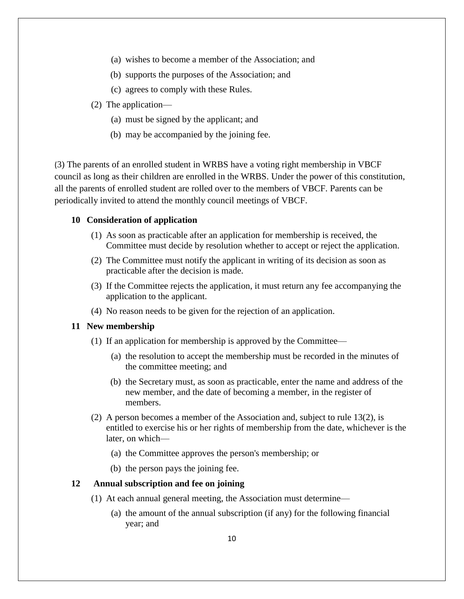- (a) wishes to become a member of the Association; and
- (b) supports the purposes of the Association; and
- (c) agrees to comply with these Rules.
- (2) The application—
	- (a) must be signed by the applicant; and
	- (b) may be accompanied by the joining fee.

(3) The parents of an enrolled student in WRBS have a voting right membership in VBCF council as long as their children are enrolled in the WRBS. Under the power of this constitution, all the parents of enrolled student are rolled over to the members of VBCF. Parents can be periodically invited to attend the monthly council meetings of VBCF.

## **10 Consideration of application**

- (1) As soon as practicable after an application for membership is received, the Committee must decide by resolution whether to accept or reject the application.
- (2) The Committee must notify the applicant in writing of its decision as soon as practicable after the decision is made.
- (3) If the Committee rejects the application, it must return any fee accompanying the application to the applicant.
- (4) No reason needs to be given for the rejection of an application.

# **11 New membership**

- (1) If an application for membership is approved by the Committee—
	- (a) the resolution to accept the membership must be recorded in the minutes of the committee meeting; and
	- (b) the Secretary must, as soon as practicable, enter the name and address of the new member, and the date of becoming a member, in the register of members.
- (2) A person becomes a member of the Association and, subject to rule 13(2), is entitled to exercise his or her rights of membership from the date, whichever is the later, on which—
	- (a) the Committee approves the person's membership; or
	- (b) the person pays the joining fee.

## **12 Annual subscription and fee on joining**

- (1) At each annual general meeting, the Association must determine—
	- (a) the amount of the annual subscription (if any) for the following financial year; and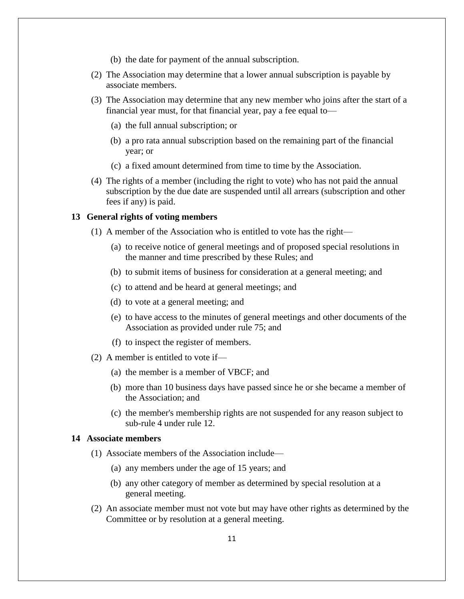- (b) the date for payment of the annual subscription.
- (2) The Association may determine that a lower annual subscription is payable by associate members.
- (3) The Association may determine that any new member who joins after the start of a financial year must, for that financial year, pay a fee equal to—
	- (a) the full annual subscription; or
	- (b) a pro rata annual subscription based on the remaining part of the financial year; or
	- (c) a fixed amount determined from time to time by the Association.
- (4) The rights of a member (including the right to vote) who has not paid the annual subscription by the due date are suspended until all arrears (subscription and other fees if any) is paid.

#### **13 General rights of voting members**

- (1) A member of the Association who is entitled to vote has the right—
	- (a) to receive notice of general meetings and of proposed special resolutions in the manner and time prescribed by these Rules; and
	- (b) to submit items of business for consideration at a general meeting; and
	- (c) to attend and be heard at general meetings; and
	- (d) to vote at a general meeting; and
	- (e) to have access to the minutes of general meetings and other documents of the Association as provided under rule 75; and
	- (f) to inspect the register of members.
- (2) A member is entitled to vote if—
	- (a) the member is a member of VBCF; and
	- (b) more than 10 business days have passed since he or she became a member of the Association; and
	- (c) the member's membership rights are not suspended for any reason subject to sub-rule 4 under rule 12.

#### **14 Associate members**

- (1) Associate members of the Association include—
	- (a) any members under the age of 15 years; and
	- (b) any other category of member as determined by special resolution at a general meeting.
- (2) An associate member must not vote but may have other rights as determined by the Committee or by resolution at a general meeting.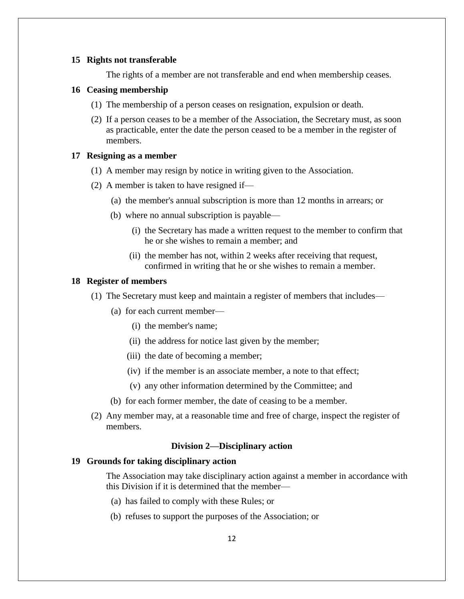#### **15 Rights not transferable**

The rights of a member are not transferable and end when membership ceases.

#### **16 Ceasing membership**

- (1) The membership of a person ceases on resignation, expulsion or death.
- (2) If a person ceases to be a member of the Association, the Secretary must, as soon as practicable, enter the date the person ceased to be a member in the register of members.

## **17 Resigning as a member**

- (1) A member may resign by notice in writing given to the Association.
- (2) A member is taken to have resigned if—
	- (a) the member's annual subscription is more than 12 months in arrears; or
	- (b) where no annual subscription is payable—
		- (i) the Secretary has made a written request to the member to confirm that he or she wishes to remain a member; and
		- (ii) the member has not, within 2 weeks after receiving that request, confirmed in writing that he or she wishes to remain a member.

#### **18 Register of members**

- (1) The Secretary must keep and maintain a register of members that includes—
	- (a) for each current member—
		- (i) the member's name;
		- (ii) the address for notice last given by the member;
		- (iii) the date of becoming a member;
		- (iv) if the member is an associate member, a note to that effect;
		- (v) any other information determined by the Committee; and
	- (b) for each former member, the date of ceasing to be a member.
- (2) Any member may, at a reasonable time and free of charge, inspect the register of members.

# **Division 2—Disciplinary action**

## **19 Grounds for taking disciplinary action**

The Association may take disciplinary action against a member in accordance with this Division if it is determined that the member—

- (a) has failed to comply with these Rules; or
- (b) refuses to support the purposes of the Association; or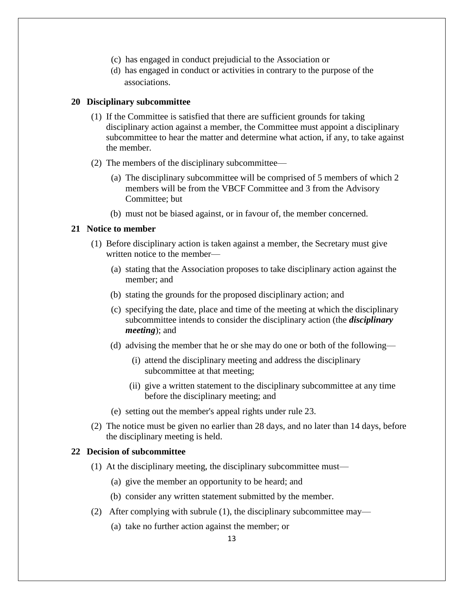- (c) has engaged in conduct prejudicial to the Association or
- (d) has engaged in conduct or activities in contrary to the purpose of the associations.

#### **20 Disciplinary subcommittee**

- (1) If the Committee is satisfied that there are sufficient grounds for taking disciplinary action against a member, the Committee must appoint a disciplinary subcommittee to hear the matter and determine what action, if any, to take against the member.
- (2) The members of the disciplinary subcommittee—
	- (a) The disciplinary subcommittee will be comprised of 5 members of which 2 members will be from the VBCF Committee and 3 from the Advisory Committee; but
	- (b) must not be biased against, or in favour of, the member concerned.

# **21 Notice to member**

- (1) Before disciplinary action is taken against a member, the Secretary must give written notice to the member—
	- (a) stating that the Association proposes to take disciplinary action against the member; and
	- (b) stating the grounds for the proposed disciplinary action; and
	- (c) specifying the date, place and time of the meeting at which the disciplinary subcommittee intends to consider the disciplinary action (the *disciplinary meeting*); and
	- (d) advising the member that he or she may do one or both of the following—
		- (i) attend the disciplinary meeting and address the disciplinary subcommittee at that meeting;
		- (ii) give a written statement to the disciplinary subcommittee at any time before the disciplinary meeting; and
	- (e) setting out the member's appeal rights under rule 23.
- (2) The notice must be given no earlier than 28 days, and no later than 14 days, before the disciplinary meeting is held.

## **22 Decision of subcommittee**

- (1) At the disciplinary meeting, the disciplinary subcommittee must—
	- (a) give the member an opportunity to be heard; and
	- (b) consider any written statement submitted by the member.
- (2) After complying with subrule (1), the disciplinary subcommittee may—
	- (a) take no further action against the member; or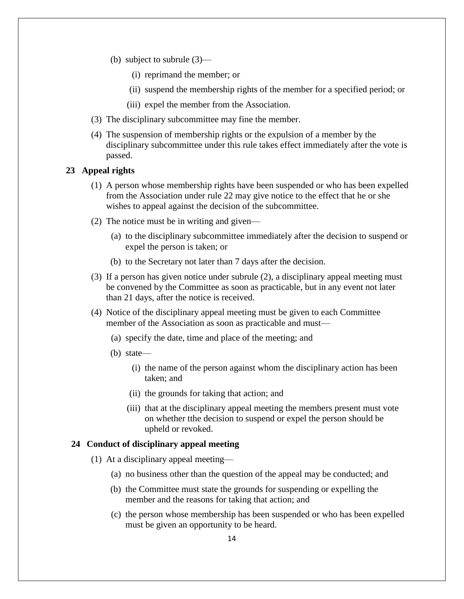- (b) subject to subrule (3)—
	- (i) reprimand the member; or
	- (ii) suspend the membership rights of the member for a specified period; or
	- (iii) expel the member from the Association.
- (3) The disciplinary subcommittee may fine the member.
- (4) The suspension of membership rights or the expulsion of a member by the disciplinary subcommittee under this rule takes effect immediately after the vote is passed.

# **23 Appeal rights**

- (1) A person whose membership rights have been suspended or who has been expelled from the Association under rule 22 may give notice to the effect that he or she wishes to appeal against the decision of the subcommittee.
- (2) The notice must be in writing and given—
	- (a) to the disciplinary subcommittee immediately after the decision to suspend or expel the person is taken; or
	- (b) to the Secretary not later than 7 days after the decision.
- (3) If a person has given notice under subrule (2), a disciplinary appeal meeting must be convened by the Committee as soon as practicable, but in any event not later than 21 days, after the notice is received.
- (4) Notice of the disciplinary appeal meeting must be given to each Committee member of the Association as soon as practicable and must—
	- (a) specify the date, time and place of the meeting; and
	- (b) state—
		- (i) the name of the person against whom the disciplinary action has been taken; and
		- (ii) the grounds for taking that action; and
		- (iii) that at the disciplinary appeal meeting the members present must vote on whether tthe decision to suspend or expel the person should be upheld or revoked.

## **24 Conduct of disciplinary appeal meeting**

- (1) At a disciplinary appeal meeting—
	- (a) no business other than the question of the appeal may be conducted; and
	- (b) the Committee must state the grounds for suspending or expelling the member and the reasons for taking that action; and
	- (c) the person whose membership has been suspended or who has been expelled must be given an opportunity to be heard.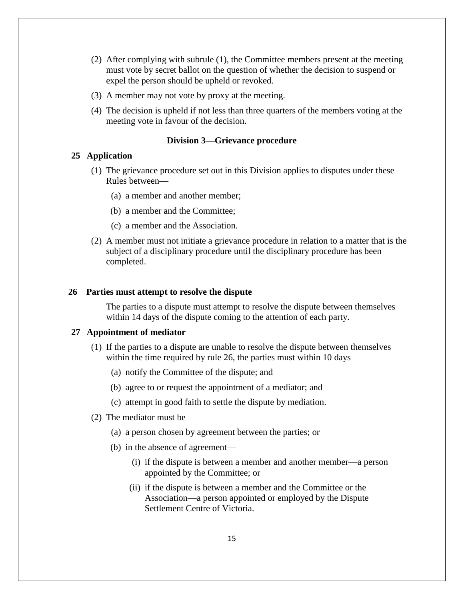- (2) After complying with subrule (1), the Committee members present at the meeting must vote by secret ballot on the question of whether the decision to suspend or expel the person should be upheld or revoked.
- (3) A member may not vote by proxy at the meeting.
- (4) The decision is upheld if not less than three quarters of the members voting at the meeting vote in favour of the decision.

#### **Division 3—Grievance procedure**

#### **25 Application**

- (1) The grievance procedure set out in this Division applies to disputes under these Rules between—
	- (a) a member and another member;
	- (b) a member and the Committee;
	- (c) a member and the Association.
- (2) A member must not initiate a grievance procedure in relation to a matter that is the subject of a disciplinary procedure until the disciplinary procedure has been completed.

#### **26 Parties must attempt to resolve the dispute**

The parties to a dispute must attempt to resolve the dispute between themselves within 14 days of the dispute coming to the attention of each party.

## **27 Appointment of mediator**

- (1) If the parties to a dispute are unable to resolve the dispute between themselves within the time required by rule 26, the parties must within 10 days—
	- (a) notify the Committee of the dispute; and
	- (b) agree to or request the appointment of a mediator; and
	- (c) attempt in good faith to settle the dispute by mediation.
- (2) The mediator must be—
	- (a) a person chosen by agreement between the parties; or
	- (b) in the absence of agreement—
		- (i) if the dispute is between a member and another member—a person appointed by the Committee; or
		- (ii) if the dispute is between a member and the Committee or the Association—a person appointed or employed by the Dispute Settlement Centre of Victoria.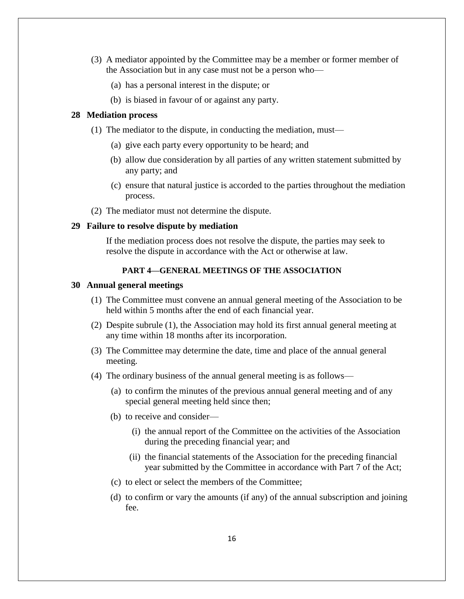- (3) A mediator appointed by the Committee may be a member or former member of the Association but in any case must not be a person who—
	- (a) has a personal interest in the dispute; or
	- (b) is biased in favour of or against any party.

#### **28 Mediation process**

- (1) The mediator to the dispute, in conducting the mediation, must—
	- (a) give each party every opportunity to be heard; and
	- (b) allow due consideration by all parties of any written statement submitted by any party; and
	- (c) ensure that natural justice is accorded to the parties throughout the mediation process.
- (2) The mediator must not determine the dispute.

## **29 Failure to resolve dispute by mediation**

If the mediation process does not resolve the dispute, the parties may seek to resolve the dispute in accordance with the Act or otherwise at law.

## **PART 4—GENERAL MEETINGS OF THE ASSOCIATION**

#### **30 Annual general meetings**

- (1) The Committee must convene an annual general meeting of the Association to be held within 5 months after the end of each financial year.
- (2) Despite subrule (1), the Association may hold its first annual general meeting at any time within 18 months after its incorporation.
- (3) The Committee may determine the date, time and place of the annual general meeting.
- (4) The ordinary business of the annual general meeting is as follows—
	- (a) to confirm the minutes of the previous annual general meeting and of any special general meeting held since then;
	- (b) to receive and consider—
		- (i) the annual report of the Committee on the activities of the Association during the preceding financial year; and
		- (ii) the financial statements of the Association for the preceding financial year submitted by the Committee in accordance with Part 7 of the Act;
	- (c) to elect or select the members of the Committee;
	- (d) to confirm or vary the amounts (if any) of the annual subscription and joining fee.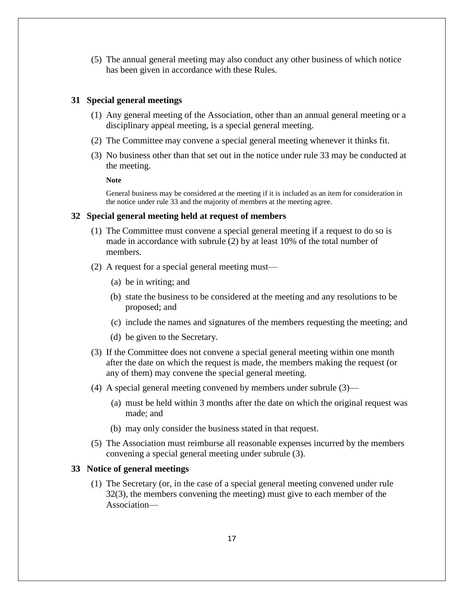(5) The annual general meeting may also conduct any other business of which notice has been given in accordance with these Rules.

## **31 Special general meetings**

- (1) Any general meeting of the Association, other than an annual general meeting or a disciplinary appeal meeting, is a special general meeting.
- (2) The Committee may convene a special general meeting whenever it thinks fit.
- (3) No business other than that set out in the notice under rule 33 may be conducted at the meeting.

**Note**

General business may be considered at the meeting if it is included as an item for consideration in the notice under rule 33 and the majority of members at the meeting agree.

## **32 Special general meeting held at request of members**

- (1) The Committee must convene a special general meeting if a request to do so is made in accordance with subrule (2) by at least 10% of the total number of members.
- (2) A request for a special general meeting must—
	- (a) be in writing; and
	- (b) state the business to be considered at the meeting and any resolutions to be proposed; and
	- (c) include the names and signatures of the members requesting the meeting; and
	- (d) be given to the Secretary.
- (3) If the Committee does not convene a special general meeting within one month after the date on which the request is made, the members making the request (or any of them) may convene the special general meeting.
- (4) A special general meeting convened by members under subrule (3)—
	- (a) must be held within 3 months after the date on which the original request was made; and
	- (b) may only consider the business stated in that request.
- (5) The Association must reimburse all reasonable expenses incurred by the members convening a special general meeting under subrule (3).

### **33 Notice of general meetings**

(1) The Secretary (or, in the case of a special general meeting convened under rule 32(3), the members convening the meeting) must give to each member of the Association—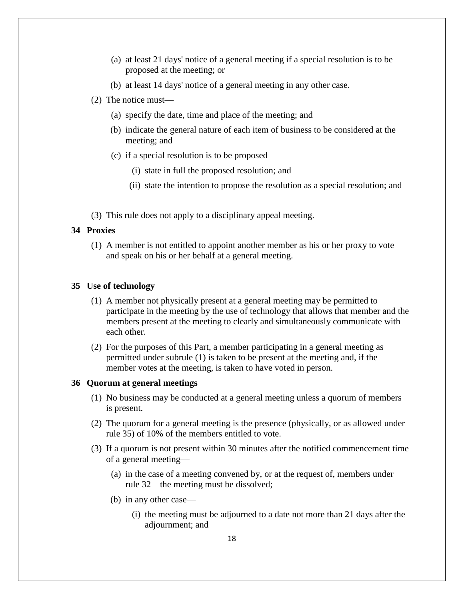- (a) at least 21 days' notice of a general meeting if a special resolution is to be proposed at the meeting; or
- (b) at least 14 days' notice of a general meeting in any other case.
- (2) The notice must—
	- (a) specify the date, time and place of the meeting; and
	- (b) indicate the general nature of each item of business to be considered at the meeting; and
	- (c) if a special resolution is to be proposed—
		- (i) state in full the proposed resolution; and
		- (ii) state the intention to propose the resolution as a special resolution; and
- (3) This rule does not apply to a disciplinary appeal meeting.

#### **34 Proxies**

(1) A member is not entitled to appoint another member as his or her proxy to vote and speak on his or her behalf at a general meeting.

#### **35 Use of technology**

- (1) A member not physically present at a general meeting may be permitted to participate in the meeting by the use of technology that allows that member and the members present at the meeting to clearly and simultaneously communicate with each other.
- (2) For the purposes of this Part, a member participating in a general meeting as permitted under subrule (1) is taken to be present at the meeting and, if the member votes at the meeting, is taken to have voted in person.

#### **36 Quorum at general meetings**

- (1) No business may be conducted at a general meeting unless a quorum of members is present.
- (2) The quorum for a general meeting is the presence (physically, or as allowed under rule 35) of 10% of the members entitled to vote.
- (3) If a quorum is not present within 30 minutes after the notified commencement time of a general meeting—
	- (a) in the case of a meeting convened by, or at the request of, members under rule 32—the meeting must be dissolved;
	- (b) in any other case—
		- (i) the meeting must be adjourned to a date not more than 21 days after the adjournment; and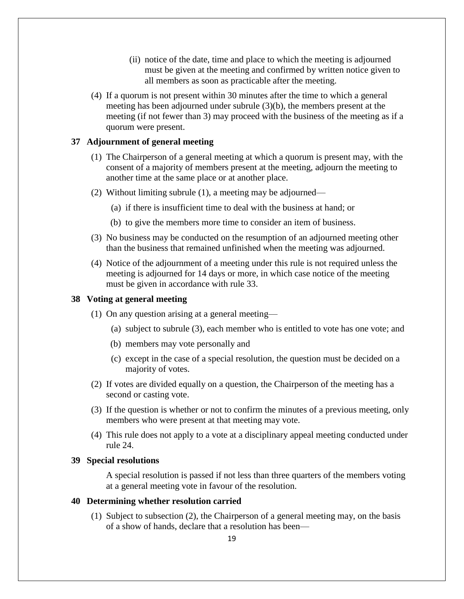- (ii) notice of the date, time and place to which the meeting is adjourned must be given at the meeting and confirmed by written notice given to all members as soon as practicable after the meeting.
- (4) If a quorum is not present within 30 minutes after the time to which a general meeting has been adjourned under subrule (3)(b), the members present at the meeting (if not fewer than 3) may proceed with the business of the meeting as if a quorum were present.

# **37 Adjournment of general meeting**

- (1) The Chairperson of a general meeting at which a quorum is present may, with the consent of a majority of members present at the meeting, adjourn the meeting to another time at the same place or at another place.
- (2) Without limiting subrule (1), a meeting may be adjourned—
	- (a) if there is insufficient time to deal with the business at hand; or
	- (b) to give the members more time to consider an item of business.
- (3) No business may be conducted on the resumption of an adjourned meeting other than the business that remained unfinished when the meeting was adjourned.
- (4) Notice of the adjournment of a meeting under this rule is not required unless the meeting is adjourned for 14 days or more, in which case notice of the meeting must be given in accordance with rule 33.

## **38 Voting at general meeting**

- (1) On any question arising at a general meeting—
	- (a) subject to subrule (3), each member who is entitled to vote has one vote; and
	- (b) members may vote personally and
	- (c) except in the case of a special resolution, the question must be decided on a majority of votes.
- (2) If votes are divided equally on a question, the Chairperson of the meeting has a second or casting vote.
- (3) If the question is whether or not to confirm the minutes of a previous meeting, only members who were present at that meeting may vote.
- (4) This rule does not apply to a vote at a disciplinary appeal meeting conducted under rule 24.

#### **39 Special resolutions**

A special resolution is passed if not less than three quarters of the members voting at a general meeting vote in favour of the resolution.

## **40 Determining whether resolution carried**

(1) Subject to subsection (2), the Chairperson of a general meeting may, on the basis of a show of hands, declare that a resolution has been—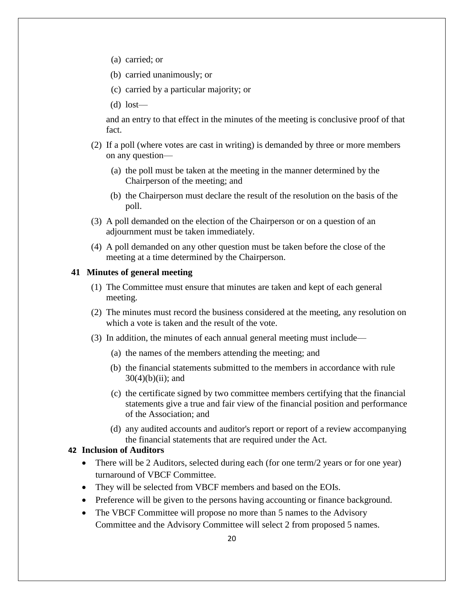- (a) carried; or
- (b) carried unanimously; or
- (c) carried by a particular majority; or
- (d) lost—

and an entry to that effect in the minutes of the meeting is conclusive proof of that fact.

- (2) If a poll (where votes are cast in writing) is demanded by three or more members on any question—
	- (a) the poll must be taken at the meeting in the manner determined by the Chairperson of the meeting; and
	- (b) the Chairperson must declare the result of the resolution on the basis of the poll.
- (3) A poll demanded on the election of the Chairperson or on a question of an adjournment must be taken immediately.
- (4) A poll demanded on any other question must be taken before the close of the meeting at a time determined by the Chairperson.

#### **41 Minutes of general meeting**

- (1) The Committee must ensure that minutes are taken and kept of each general meeting.
- (2) The minutes must record the business considered at the meeting, any resolution on which a vote is taken and the result of the vote.
- (3) In addition, the minutes of each annual general meeting must include—
	- (a) the names of the members attending the meeting; and
	- (b) the financial statements submitted to the members in accordance with rule  $30(4)(b)(ii)$ ; and
	- (c) the certificate signed by two committee members certifying that the financial statements give a true and fair view of the financial position and performance of the Association; and
	- (d) any audited accounts and auditor's report or report of a review accompanying the financial statements that are required under the Act.

## **42 Inclusion of Auditors**

- There will be 2 Auditors, selected during each (for one term/2 years or for one year) turnaround of VBCF Committee.
- They will be selected from VBCF members and based on the EOIs.
- Preference will be given to the persons having accounting or finance background.
- The VBCF Committee will propose no more than 5 names to the Advisory Committee and the Advisory Committee will select 2 from proposed 5 names.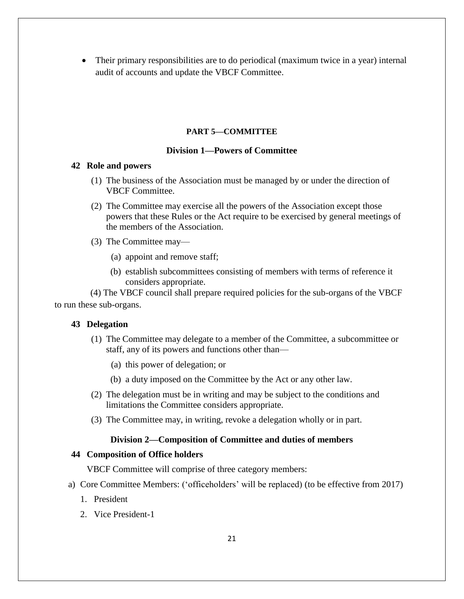Their primary responsibilities are to do periodical (maximum twice in a year) internal audit of accounts and update the VBCF Committee.

## **PART 5—COMMITTEE**

# **Division 1—Powers of Committee**

#### **42 Role and powers**

- (1) The business of the Association must be managed by or under the direction of VBCF Committee.
- (2) The Committee may exercise all the powers of the Association except those powers that these Rules or the Act require to be exercised by general meetings of the members of the Association.
- (3) The Committee may—
	- (a) appoint and remove staff;
	- (b) establish subcommittees consisting of members with terms of reference it considers appropriate.

 (4) The VBCF council shall prepare required policies for the sub-organs of the VBCF to run these sub-organs.

## **43 Delegation**

- (1) The Committee may delegate to a member of the Committee, a subcommittee or staff, any of its powers and functions other than—
	- (a) this power of delegation; or
	- (b) a duty imposed on the Committee by the Act or any other law.
- (2) The delegation must be in writing and may be subject to the conditions and limitations the Committee considers appropriate.
- (3) The Committee may, in writing, revoke a delegation wholly or in part.

## **Division 2—Composition of Committee and duties of members**

## **44 Composition of Office holders**

VBCF Committee will comprise of three category members:

- a) Core Committee Members: ('officeholders' will be replaced) (to be effective from 2017)
	- 1. President
	- 2. Vice President-1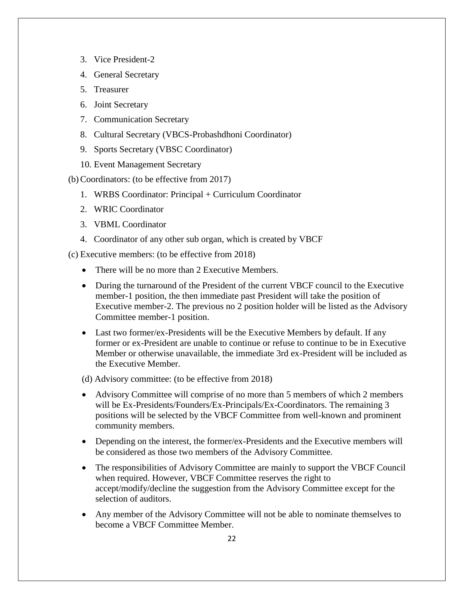- 3. Vice President-2
- 4. General Secretary
- 5. Treasurer
- 6. Joint Secretary
- 7. Communication Secretary
- 8. Cultural Secretary (VBCS-Probashdhoni Coordinator)
- 9. Sports Secretary (VBSC Coordinator)
- 10. Event Management Secretary

#### (b)Coordinators: (to be effective from 2017)

- 1. WRBS Coordinator: Principal + Curriculum Coordinator
- 2. WRIC Coordinator
- 3. VBML Coordinator
- 4. Coordinator of any other sub organ, which is created by VBCF

(c) Executive members: (to be effective from 2018)

- There will be no more than 2 Executive Members.
- During the turnaround of the President of the current VBCF council to the Executive member-1 position, the then immediate past President will take the position of Executive member-2. The previous no 2 position holder will be listed as the Advisory Committee member-1 position.
- Last two former/ex-Presidents will be the Executive Members by default. If any former or ex-President are unable to continue or refuse to continue to be in Executive Member or otherwise unavailable, the immediate 3rd ex-President will be included as the Executive Member.

## (d) Advisory committee: (to be effective from 2018)

- Advisory Committee will comprise of no more than 5 members of which 2 members will be Ex-Presidents/Founders/Ex-Principals/Ex-Coordinators. The remaining 3 positions will be selected by the VBCF Committee from well-known and prominent community members.
- Depending on the interest, the former/ex-Presidents and the Executive members will be considered as those two members of the Advisory Committee.
- The responsibilities of Advisory Committee are mainly to support the VBCF Council when required. However, VBCF Committee reserves the right to accept/modify/decline the suggestion from the Advisory Committee except for the selection of auditors.
- Any member of the Advisory Committee will not be able to nominate themselves to become a VBCF Committee Member.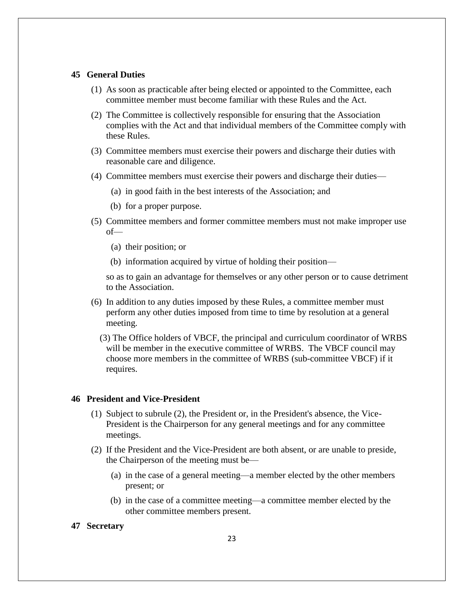#### **45 General Duties**

- (1) As soon as practicable after being elected or appointed to the Committee, each committee member must become familiar with these Rules and the Act.
- (2) The Committee is collectively responsible for ensuring that the Association complies with the Act and that individual members of the Committee comply with these Rules.
- (3) Committee members must exercise their powers and discharge their duties with reasonable care and diligence.
- (4) Committee members must exercise their powers and discharge their duties—
	- (a) in good faith in the best interests of the Association; and
	- (b) for a proper purpose.
- (5) Committee members and former committee members must not make improper use of—
	- (a) their position; or
	- (b) information acquired by virtue of holding their position—

so as to gain an advantage for themselves or any other person or to cause detriment to the Association.

- (6) In addition to any duties imposed by these Rules, a committee member must perform any other duties imposed from time to time by resolution at a general meeting.
	- (3) The Office holders of VBCF, the principal and curriculum coordinator of WRBS will be member in the executive committee of WRBS. The VBCF council may choose more members in the committee of WRBS (sub-committee VBCF) if it requires.

#### **46 President and Vice-President**

- (1) Subject to subrule (2), the President or, in the President's absence, the Vice-President is the Chairperson for any general meetings and for any committee meetings.
- (2) If the President and the Vice-President are both absent, or are unable to preside, the Chairperson of the meeting must be—
	- (a) in the case of a general meeting—a member elected by the other members present; or
	- (b) in the case of a committee meeting—a committee member elected by the other committee members present.

#### **47 Secretary**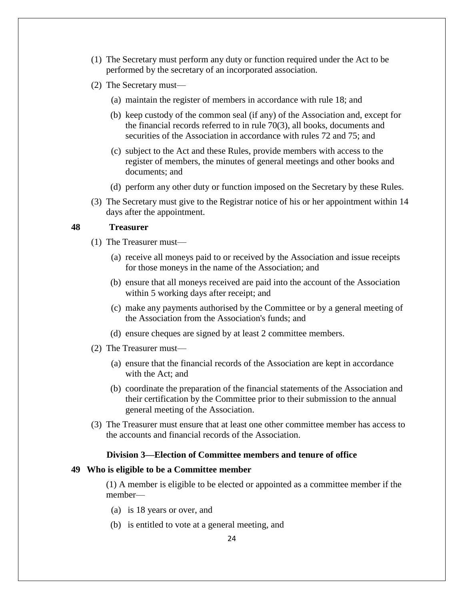- (1) The Secretary must perform any duty or function required under the Act to be performed by the secretary of an incorporated association.
- (2) The Secretary must—
	- (a) maintain the register of members in accordance with rule 18; and
	- (b) keep custody of the common seal (if any) of the Association and, except for the financial records referred to in rule 70(3), all books, documents and securities of the Association in accordance with rules 72 and 75; and
	- (c) subject to the Act and these Rules, provide members with access to the register of members, the minutes of general meetings and other books and documents; and
	- (d) perform any other duty or function imposed on the Secretary by these Rules.
- (3) The Secretary must give to the Registrar notice of his or her appointment within 14 days after the appointment.

#### **48 Treasurer**

- (1) The Treasurer must—
	- (a) receive all moneys paid to or received by the Association and issue receipts for those moneys in the name of the Association; and
	- (b) ensure that all moneys received are paid into the account of the Association within 5 working days after receipt; and
	- (c) make any payments authorised by the Committee or by a general meeting of the Association from the Association's funds; and
	- (d) ensure cheques are signed by at least 2 committee members.
- (2) The Treasurer must—
	- (a) ensure that the financial records of the Association are kept in accordance with the Act; and
	- (b) coordinate the preparation of the financial statements of the Association and their certification by the Committee prior to their submission to the annual general meeting of the Association.
- (3) The Treasurer must ensure that at least one other committee member has access to the accounts and financial records of the Association.

# **Division 3—Election of Committee members and tenure of office**

#### **49 Who is eligible to be a Committee member**

(1) A member is eligible to be elected or appointed as a committee member if the member—

- (a) is 18 years or over, and
- (b) is entitled to vote at a general meeting, and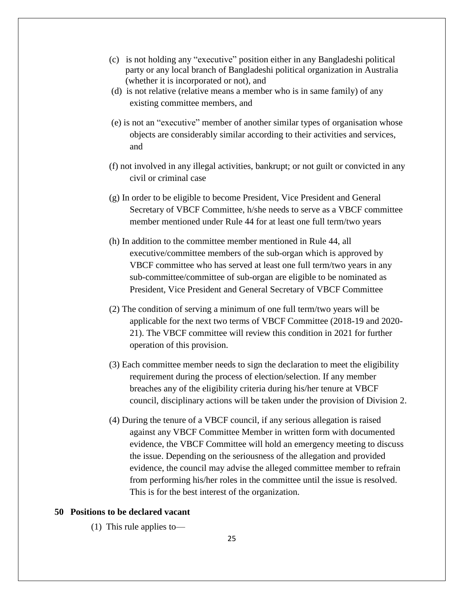- (c) is not holding any "executive" position either in any Bangladeshi political party or any local branch of Bangladeshi political organization in Australia (whether it is incorporated or not), and
- (d) is not relative (relative means a member who is in same family) of any existing committee members, and
- (e) is not an "executive" member of another similar types of organisation whose objects are considerably similar according to their activities and services, and
- (f) not involved in any illegal activities, bankrupt; or not guilt or convicted in any civil or criminal case
- (g) In order to be eligible to become President, Vice President and General Secretary of VBCF Committee, h/she needs to serve as a VBCF committee member mentioned under Rule 44 for at least one full term/two years
- (h) In addition to the committee member mentioned in Rule 44, all executive/committee members of the sub-organ which is approved by VBCF committee who has served at least one full term/two years in any sub-committee/committee of sub-organ are eligible to be nominated as President, Vice President and General Secretary of VBCF Committee
- (2) The condition of serving a minimum of one full term/two years will be applicable for the next two terms of VBCF Committee (2018-19 and 2020- 21). The VBCF committee will review this condition in 2021 for further operation of this provision.
- (3) Each committee member needs to sign the declaration to meet the eligibility requirement during the process of election/selection. If any member breaches any of the eligibility criteria during his/her tenure at VBCF council, disciplinary actions will be taken under the provision of Division 2.
- (4) During the tenure of a VBCF council, if any serious allegation is raised against any VBCF Committee Member in written form with documented evidence, the VBCF Committee will hold an emergency meeting to discuss the issue. Depending on the seriousness of the allegation and provided evidence, the council may advise the alleged committee member to refrain from performing his/her roles in the committee until the issue is resolved. This is for the best interest of the organization.

## **50 Positions to be declared vacant**

(1) This rule applies to—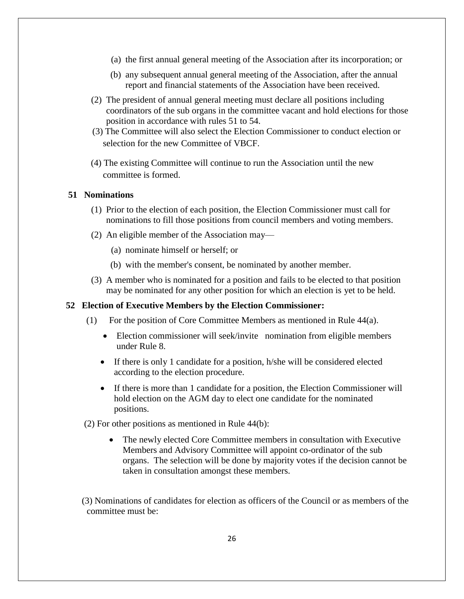- (a) the first annual general meeting of the Association after its incorporation; or
- (b) any subsequent annual general meeting of the Association, after the annual report and financial statements of the Association have been received.
- (2) The president of annual general meeting must declare all positions including coordinators of the sub organs in the committee vacant and hold elections for those position in accordance with rules 51 to 54.
- (3) The Committee will also select the Election Commissioner to conduct election or selection for the new Committee of VBCF.
- (4) The existing Committee will continue to run the Association until the new committee is formed.

#### **51 Nominations**

- (1) Prior to the election of each position, the Election Commissioner must call for nominations to fill those positions from council members and voting members.
- (2) An eligible member of the Association may—
	- (a) nominate himself or herself; or
	- (b) with the member's consent, be nominated by another member.
- (3) A member who is nominated for a position and fails to be elected to that position may be nominated for any other position for which an election is yet to be held.

## **52 Election of Executive Members by the Election Commissioner:**

- (1) For the position of Core Committee Members as mentioned in Rule 44(a).
	- Election commissioner will seek/invite nomination from eligible members under Rule 8.
	- If there is only 1 candidate for a position, h/she will be considered elected according to the election procedure.
	- If there is more than 1 candidate for a position, the Election Commissioner will hold election on the AGM day to elect one candidate for the nominated positions.
- (2) For other positions as mentioned in Rule 44(b):
	- The newly elected Core Committee members in consultation with Executive Members and Advisory Committee will appoint co-ordinator of the sub organs. The selection will be done by majority votes if the decision cannot be taken in consultation amongst these members.

 (3) Nominations of candidates for election as officers of the Council or as members of the committee must be: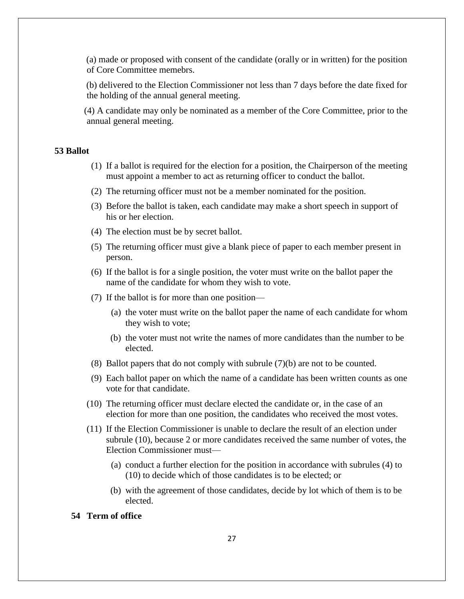(a) made or proposed with consent of the candidate (orally or in written) for the position of Core Committee memebrs.

 (b) delivered to the Election Commissioner not less than 7 days before the date fixed for the holding of the annual general meeting.

 (4) A candidate may only be nominated as a member of the Core Committee, prior to the annual general meeting.

# **53 Ballot**

- (1) If a ballot is required for the election for a position, the Chairperson of the meeting must appoint a member to act as returning officer to conduct the ballot.
- (2) The returning officer must not be a member nominated for the position.
- (3) Before the ballot is taken, each candidate may make a short speech in support of his or her election.
- (4) The election must be by secret ballot.
- (5) The returning officer must give a blank piece of paper to each member present in person.
- (6) If the ballot is for a single position, the voter must write on the ballot paper the name of the candidate for whom they wish to vote.
- (7) If the ballot is for more than one position—
	- (a) the voter must write on the ballot paper the name of each candidate for whom they wish to vote;
	- (b) the voter must not write the names of more candidates than the number to be elected.
- (8) Ballot papers that do not comply with subrule (7)(b) are not to be counted.
- (9) Each ballot paper on which the name of a candidate has been written counts as one vote for that candidate.
- (10) The returning officer must declare elected the candidate or, in the case of an election for more than one position, the candidates who received the most votes.
- (11) If the Election Commissioner is unable to declare the result of an election under subrule (10), because 2 or more candidates received the same number of votes, the Election Commissioner must—
	- (a) conduct a further election for the position in accordance with subrules (4) to (10) to decide which of those candidates is to be elected; or
	- (b) with the agreement of those candidates, decide by lot which of them is to be elected.

# **54 Term of office**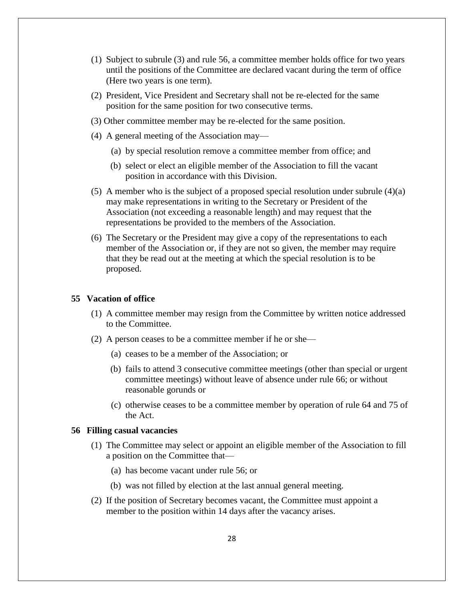- (1) Subject to subrule (3) and rule 56, a committee member holds office for two years until the positions of the Committee are declared vacant during the term of office (Here two years is one term).
- (2) President, Vice President and Secretary shall not be re-elected for the same position for the same position for two consecutive terms.
- (3) Other committee member may be re-elected for the same position.
- (4) A general meeting of the Association may—
	- (a) by special resolution remove a committee member from office; and
	- (b) select or elect an eligible member of the Association to fill the vacant position in accordance with this Division.
- (5) A member who is the subject of a proposed special resolution under subrule (4)(a) may make representations in writing to the Secretary or President of the Association (not exceeding a reasonable length) and may request that the representations be provided to the members of the Association.
- (6) The Secretary or the President may give a copy of the representations to each member of the Association or, if they are not so given, the member may require that they be read out at the meeting at which the special resolution is to be proposed.

#### **55 Vacation of office**

- (1) A committee member may resign from the Committee by written notice addressed to the Committee.
- (2) A person ceases to be a committee member if he or she—
	- (a) ceases to be a member of the Association; or
	- (b) fails to attend 3 consecutive committee meetings (other than special or urgent committee meetings) without leave of absence under rule 66; or without reasonable gorunds or
	- (c) otherwise ceases to be a committee member by operation of rule 64 and 75 of the Act.

#### **56 Filling casual vacancies**

- (1) The Committee may select or appoint an eligible member of the Association to fill a position on the Committee that—
	- (a) has become vacant under rule 56; or
	- (b) was not filled by election at the last annual general meeting.
- (2) If the position of Secretary becomes vacant, the Committee must appoint a member to the position within 14 days after the vacancy arises.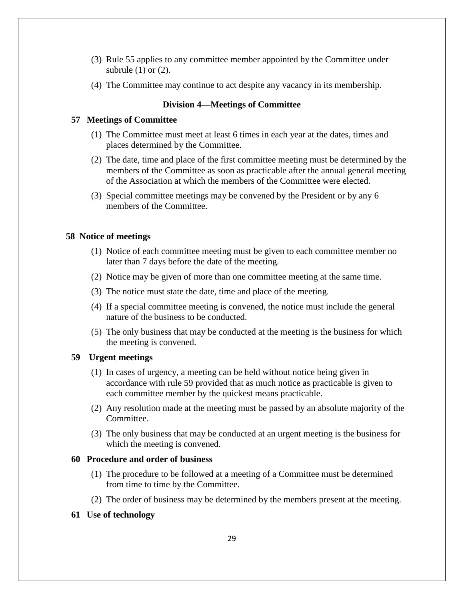- (3) Rule 55 applies to any committee member appointed by the Committee under subrule  $(1)$  or  $(2)$ .
- (4) The Committee may continue to act despite any vacancy in its membership.

#### **Division 4—Meetings of Committee**

#### **57 Meetings of Committee**

- (1) The Committee must meet at least 6 times in each year at the dates, times and places determined by the Committee.
- (2) The date, time and place of the first committee meeting must be determined by the members of the Committee as soon as practicable after the annual general meeting of the Association at which the members of the Committee were elected.
- (3) Special committee meetings may be convened by the President or by any 6 members of the Committee.

## **58 Notice of meetings**

- (1) Notice of each committee meeting must be given to each committee member no later than 7 days before the date of the meeting.
- (2) Notice may be given of more than one committee meeting at the same time.
- (3) The notice must state the date, time and place of the meeting.
- (4) If a special committee meeting is convened, the notice must include the general nature of the business to be conducted.
- (5) The only business that may be conducted at the meeting is the business for which the meeting is convened.

## **59 Urgent meetings**

- (1) In cases of urgency, a meeting can be held without notice being given in accordance with rule 59 provided that as much notice as practicable is given to each committee member by the quickest means practicable.
- (2) Any resolution made at the meeting must be passed by an absolute majority of the Committee.
- (3) The only business that may be conducted at an urgent meeting is the business for which the meeting is convened.

## **60 Procedure and order of business**

- (1) The procedure to be followed at a meeting of a Committee must be determined from time to time by the Committee.
- (2) The order of business may be determined by the members present at the meeting.

#### **61 Use of technology**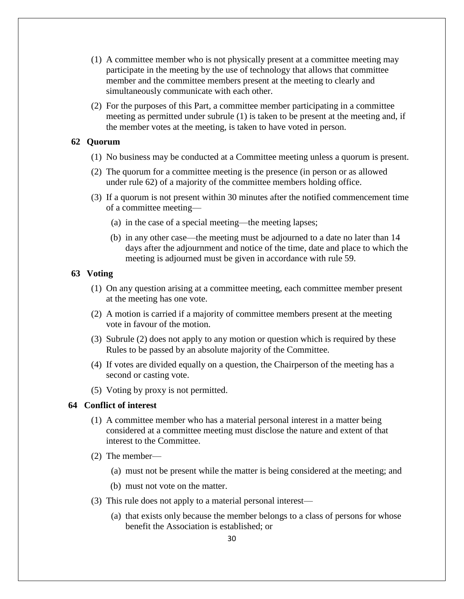- (1) A committee member who is not physically present at a committee meeting may participate in the meeting by the use of technology that allows that committee member and the committee members present at the meeting to clearly and simultaneously communicate with each other.
- (2) For the purposes of this Part, a committee member participating in a committee meeting as permitted under subrule (1) is taken to be present at the meeting and, if the member votes at the meeting, is taken to have voted in person.

#### **62 Quorum**

- (1) No business may be conducted at a Committee meeting unless a quorum is present.
- (2) The quorum for a committee meeting is the presence (in person or as allowed under rule 62) of a majority of the committee members holding office.
- (3) If a quorum is not present within 30 minutes after the notified commencement time of a committee meeting—
	- (a) in the case of a special meeting—the meeting lapses;
	- (b) in any other case—the meeting must be adjourned to a date no later than 14 days after the adjournment and notice of the time, date and place to which the meeting is adjourned must be given in accordance with rule 59.

## **63 Voting**

- (1) On any question arising at a committee meeting, each committee member present at the meeting has one vote.
- (2) A motion is carried if a majority of committee members present at the meeting vote in favour of the motion.
- (3) Subrule (2) does not apply to any motion or question which is required by these Rules to be passed by an absolute majority of the Committee.
- (4) If votes are divided equally on a question, the Chairperson of the meeting has a second or casting vote.
- (5) Voting by proxy is not permitted.

## **64 Conflict of interest**

- (1) A committee member who has a material personal interest in a matter being considered at a committee meeting must disclose the nature and extent of that interest to the Committee.
- (2) The member—
	- (a) must not be present while the matter is being considered at the meeting; and
	- (b) must not vote on the matter.
- (3) This rule does not apply to a material personal interest—
	- (a) that exists only because the member belongs to a class of persons for whose benefit the Association is established; or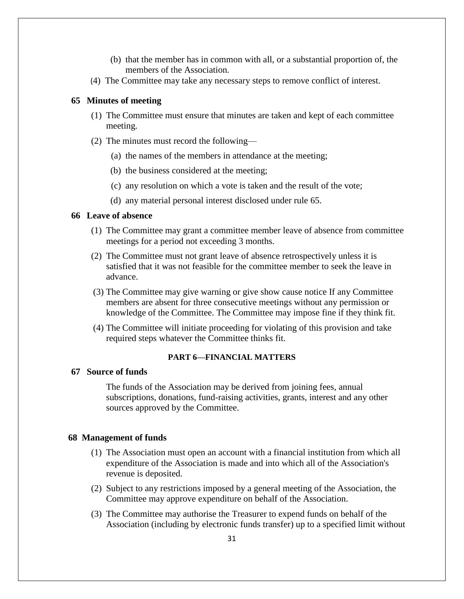- (b) that the member has in common with all, or a substantial proportion of, the members of the Association.
- (4) The Committee may take any necessary steps to remove conflict of interest.

# **65 Minutes of meeting**

- (1) The Committee must ensure that minutes are taken and kept of each committee meeting.
- (2) The minutes must record the following—
	- (a) the names of the members in attendance at the meeting;
	- (b) the business considered at the meeting;
	- (c) any resolution on which a vote is taken and the result of the vote;
	- (d) any material personal interest disclosed under rule 65.

### **66 Leave of absence**

- (1) The Committee may grant a committee member leave of absence from committee meetings for a period not exceeding 3 months.
- (2) The Committee must not grant leave of absence retrospectively unless it is satisfied that it was not feasible for the committee member to seek the leave in advance.
- (3) The Committee may give warning or give show cause notice If any Committee members are absent for three consecutive meetings without any permission or knowledge of the Committee. The Committee may impose fine if they think fit.
- (4) The Committee will initiate proceeding for violating of this provision and take required steps whatever the Committee thinks fit.

## **PART 6—FINANCIAL MATTERS**

## **67 Source of funds**

The funds of the Association may be derived from joining fees, annual subscriptions, donations, fund-raising activities, grants, interest and any other sources approved by the Committee.

## **68 Management of funds**

- (1) The Association must open an account with a financial institution from which all expenditure of the Association is made and into which all of the Association's revenue is deposited.
- (2) Subject to any restrictions imposed by a general meeting of the Association, the Committee may approve expenditure on behalf of the Association.
- (3) The Committee may authorise the Treasurer to expend funds on behalf of the Association (including by electronic funds transfer) up to a specified limit without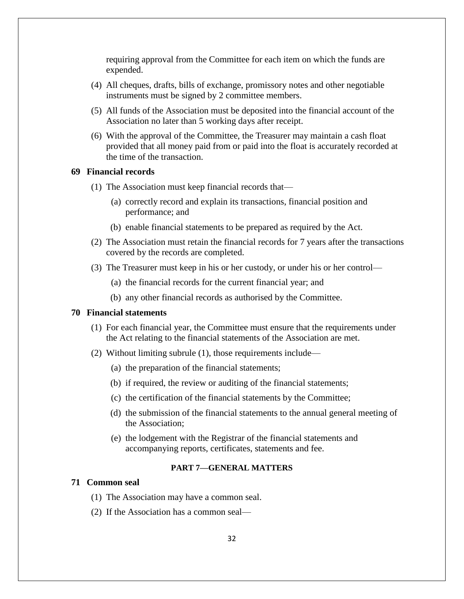requiring approval from the Committee for each item on which the funds are expended.

- (4) All cheques, drafts, bills of exchange, promissory notes and other negotiable instruments must be signed by 2 committee members.
- (5) All funds of the Association must be deposited into the financial account of the Association no later than 5 working days after receipt.
- (6) With the approval of the Committee, the Treasurer may maintain a cash float provided that all money paid from or paid into the float is accurately recorded at the time of the transaction.

# **69 Financial records**

- (1) The Association must keep financial records that—
	- (a) correctly record and explain its transactions, financial position and performance; and
	- (b) enable financial statements to be prepared as required by the Act.
- (2) The Association must retain the financial records for 7 years after the transactions covered by the records are completed.
- (3) The Treasurer must keep in his or her custody, or under his or her control—
	- (a) the financial records for the current financial year; and
	- (b) any other financial records as authorised by the Committee.

## **70 Financial statements**

- (1) For each financial year, the Committee must ensure that the requirements under the Act relating to the financial statements of the Association are met.
- (2) Without limiting subrule (1), those requirements include—
	- (a) the preparation of the financial statements;
	- (b) if required, the review or auditing of the financial statements;
	- (c) the certification of the financial statements by the Committee;
	- (d) the submission of the financial statements to the annual general meeting of the Association;
	- (e) the lodgement with the Registrar of the financial statements and accompanying reports, certificates, statements and fee.

#### **PART 7—GENERAL MATTERS**

## **71 Common seal**

- (1) The Association may have a common seal.
- (2) If the Association has a common seal—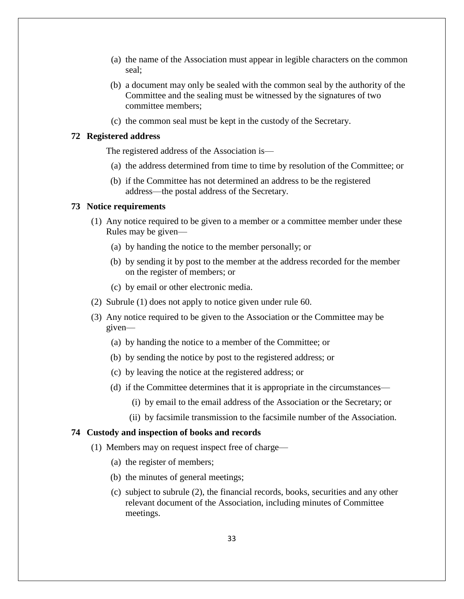- (a) the name of the Association must appear in legible characters on the common seal;
- (b) a document may only be sealed with the common seal by the authority of the Committee and the sealing must be witnessed by the signatures of two committee members;
- (c) the common seal must be kept in the custody of the Secretary.

#### **72 Registered address**

The registered address of the Association is—

- (a) the address determined from time to time by resolution of the Committee; or
- (b) if the Committee has not determined an address to be the registered address—the postal address of the Secretary.

#### **73 Notice requirements**

- (1) Any notice required to be given to a member or a committee member under these Rules may be given—
	- (a) by handing the notice to the member personally; or
	- (b) by sending it by post to the member at the address recorded for the member on the register of members; or
	- (c) by email or other electronic media.
- (2) Subrule (1) does not apply to notice given under rule 60.
- (3) Any notice required to be given to the Association or the Committee may be given—
	- (a) by handing the notice to a member of the Committee; or
	- (b) by sending the notice by post to the registered address; or
	- (c) by leaving the notice at the registered address; or
	- (d) if the Committee determines that it is appropriate in the circumstances—
		- (i) by email to the email address of the Association or the Secretary; or
		- (ii) by facsimile transmission to the facsimile number of the Association.

#### **74 Custody and inspection of books and records**

- (1) Members may on request inspect free of charge—
	- (a) the register of members;
	- (b) the minutes of general meetings;
	- (c) subject to subrule (2), the financial records, books, securities and any other relevant document of the Association, including minutes of Committee meetings.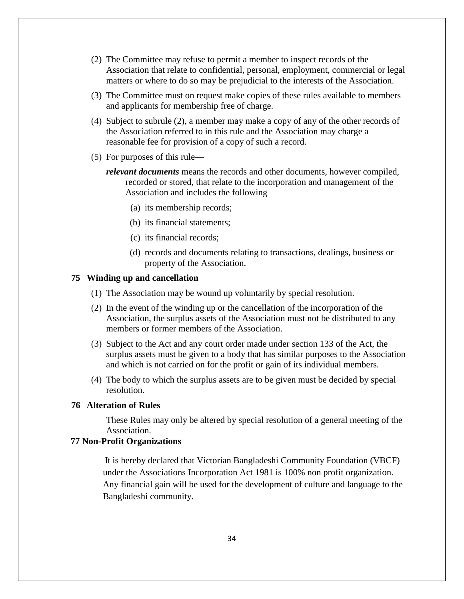- (2) The Committee may refuse to permit a member to inspect records of the Association that relate to confidential, personal, employment, commercial or legal matters or where to do so may be prejudicial to the interests of the Association.
- (3) The Committee must on request make copies of these rules available to members and applicants for membership free of charge.
- (4) Subject to subrule (2), a member may make a copy of any of the other records of the Association referred to in this rule and the Association may charge a reasonable fee for provision of a copy of such a record.
- (5) For purposes of this rule
	- *relevant documents* means the records and other documents, however compiled, recorded or stored, that relate to the incorporation and management of the Association and includes the following—
		- (a) its membership records;
		- (b) its financial statements;
		- (c) its financial records;
		- (d) records and documents relating to transactions, dealings, business or property of the Association.

#### **75 Winding up and cancellation**

- (1) The Association may be wound up voluntarily by special resolution.
- (2) In the event of the winding up or the cancellation of the incorporation of the Association, the surplus assets of the Association must not be distributed to any members or former members of the Association.
- (3) Subject to the Act and any court order made under section 133 of the Act, the surplus assets must be given to a body that has similar purposes to the Association and which is not carried on for the profit or gain of its individual members.
- (4) The body to which the surplus assets are to be given must be decided by special resolution.

# **76 Alteration of Rules**

These Rules may only be altered by special resolution of a general meeting of the Association.

# **77 Non-Profit Organizations**

 It is hereby declared that Victorian Bangladeshi Community Foundation (VBCF) under the Associations Incorporation Act 1981 is 100% non profit organization. Any financial gain will be used for the development of culture and language to the Bangladeshi community.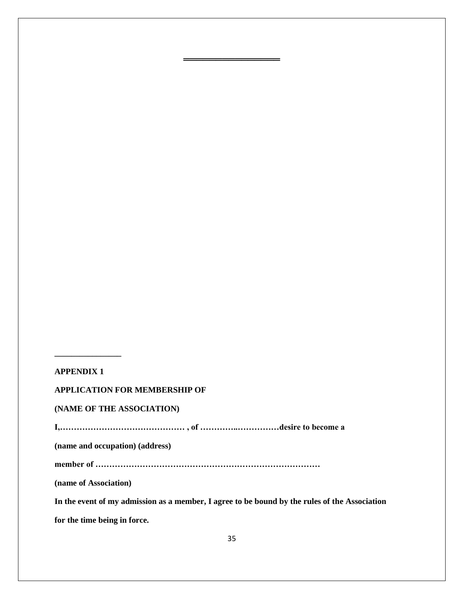# **APPENDIX 1**

**\_\_\_\_\_\_\_\_\_\_\_\_\_\_\_\_** 

## **APPLICATION FOR MEMBERSHIP OF**

## **(NAME OF THE ASSOCIATION)**

**I,……………………………………… , of …………..……………desire to become a** 

**(name and occupation) (address)** 

**member of ………………………………………………………………………** 

**(name of Association)** 

**In the event of my admission as a member, I agree to be bound by the rules of the Association** 

**for the time being in force.** 

════════════════════════════════